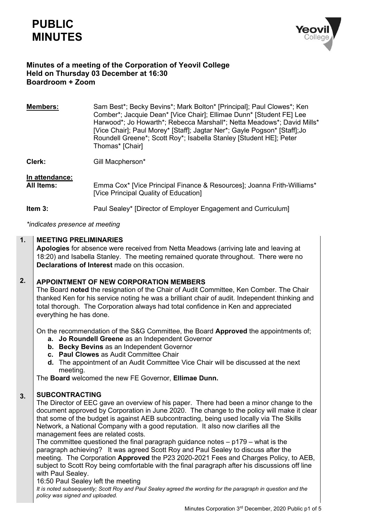# **PUBLIC MINUTES**



# **Minutes of a meeting of the Corporation of Yeovil College Held on Thursday 03 December at 16:30 Boardroom + Zoom**

**Members:** Sam Best\*; Becky Bevins\*; Mark Bolton\* [Principal]; Paul Clowes\*; Ken Comber\*; Jacquie Dean\* [Vice Chair]; Ellimae Dunn\* [Student FE] Lee Harwood\*; Jo Howarth\*; Rebecca Marshall\*; Netta Meadows\*; David Mills\* [Vice Chair]; Paul Morey\* [Staff]; Jagtar Ner\*; Gayle Pogson\* [Staff];Jo Roundell Greene\*; Scott Roy\*; Isabella Stanley [Student HE]; Peter Thomas\* [Chair]

**Clerk:** Gill Macpherson\*

### **In attendance:**

**All Items:** Emma Cox\* [Vice Principal Finance & Resources]; Joanna Frith-Williams\* [Vice Principal Quality of Education]

# **Item 3:** Paul Sealey\* [Director of Employer Engagement and Curriculum]

*\*indicates presence at meeting*

#### **1. MEETING PRELIMINARIES**

**Apologies** for absence were received from Netta Meadows (arriving late and leaving at 18:20) and Isabella Stanley. The meeting remained quorate throughout. There were no **Declarations of Interest** made on this occasion.

#### **2. APPOINTMENT OF NEW CORPORATION MEMBERS**

The Board **noted** the resignation of the Chair of Audit Committee, Ken Comber. The Chair thanked Ken for his service noting he was a brilliant chair of audit. Independent thinking and total thorough. The Corporation always had total confidence in Ken and appreciated everything he has done.

On the recommendation of the S&G Committee, the Board **Approved** the appointments of;

- **a. Jo Roundell Greene** as an Independent Governor
- **b. Becky Bevins** as an Independent Governor
- **c. Paul Clowes** as Audit Committee Chair
- **d.** The appointment of an Audit Committee Vice Chair will be discussed at the next meeting.

The **Board** welcomed the new FE Governor, **Ellimae Dunn.**

#### **3. SUBCONTRACTING**

The Director of EEC gave an overview of his paper. There had been a minor change to the document approved by Corporation in June 2020. The change to the policy will make it clear that some of the budget is against AEB subcontracting, being used locally via The Skills Network, a National Company with a good reputation. It also now clarifies all the management fees are related costs.

The committee questioned the final paragraph guidance notes  $- p179 - \text{what is the}$ paragraph achieving? It was agreed Scott Roy and Paul Sealey to discuss after the meeting. The Corporation **Approved** the P23 2020-2021 Fees and Charges Policy, to AEB, subject to Scott Roy being comfortable with the final paragraph after his discussions off line with Paul Sealey.

# 16:50 Paul Sealey left the meeting

*It is noted subsequently; Scott Roy and Paul Sealey agreed the wording for the paragraph in question and the policy was signed and uploaded.*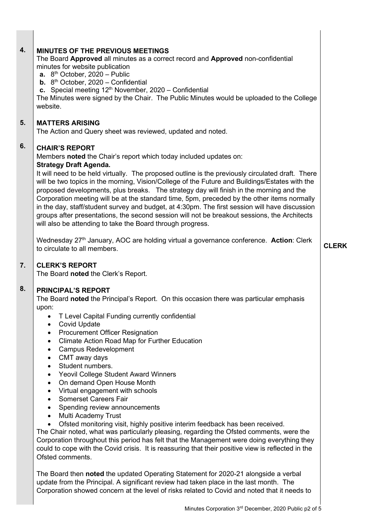| 4. | <b>MINUTES OF THE PREVIOUS MEETINGS</b><br>The Board Approved all minutes as a correct record and Approved non-confidential<br>minutes for website publication<br>$a. 8th October, 2020 - Public$<br><b>b.</b> $8^{th}$ October, 2020 – Confidential<br>c. Special meeting $12th$ November, 2020 – Confidential<br>The Minutes were signed by the Chair. The Public Minutes would be uploaded to the College<br>website.                                                                                                                                                                                                                                                                                                                                                                                                                                                                                                                                                                                                                                                                                                                                                                                                                                             |              |
|----|----------------------------------------------------------------------------------------------------------------------------------------------------------------------------------------------------------------------------------------------------------------------------------------------------------------------------------------------------------------------------------------------------------------------------------------------------------------------------------------------------------------------------------------------------------------------------------------------------------------------------------------------------------------------------------------------------------------------------------------------------------------------------------------------------------------------------------------------------------------------------------------------------------------------------------------------------------------------------------------------------------------------------------------------------------------------------------------------------------------------------------------------------------------------------------------------------------------------------------------------------------------------|--------------|
| 5. | <b>MATTERS ARISING</b><br>The Action and Query sheet was reviewed, updated and noted.                                                                                                                                                                                                                                                                                                                                                                                                                                                                                                                                                                                                                                                                                                                                                                                                                                                                                                                                                                                                                                                                                                                                                                                |              |
| 6. | <b>CHAIR'S REPORT</b><br>Members noted the Chair's report which today included updates on:<br><b>Strategy Draft Agenda.</b><br>It will need to be held virtually. The proposed outline is the previously circulated draft. There<br>will be two topics in the morning, Vision/College of the Future and Buildings/Estates with the<br>proposed developments, plus breaks. The strategy day will finish in the morning and the<br>Corporation meeting will be at the standard time, 5pm, preceded by the other items normally<br>in the day, staff/student survey and budget, at 4:30pm. The first session will have discussion<br>groups after presentations, the second session will not be breakout sessions, the Architects<br>will also be attending to take the Board through progress.                                                                                                                                                                                                                                                                                                                                                                                                                                                                         |              |
|    | Wednesday 27 <sup>th</sup> January, AOC are holding virtual a governance conference. Action: Clerk<br>to circulate to all members.                                                                                                                                                                                                                                                                                                                                                                                                                                                                                                                                                                                                                                                                                                                                                                                                                                                                                                                                                                                                                                                                                                                                   | <b>CLERK</b> |
| 7. | <b>CLERK'S REPORT</b><br>The Board noted the Clerk's Report.                                                                                                                                                                                                                                                                                                                                                                                                                                                                                                                                                                                                                                                                                                                                                                                                                                                                                                                                                                                                                                                                                                                                                                                                         |              |
| 8. | <b>PRINCIPAL'S REPORT</b><br>The Board noted the Principal's Report. On this occasion there was particular emphasis<br>upon:<br>T Level Capital Funding currently confidential<br>$\bullet$<br><b>Covid Update</b><br>$\bullet$<br><b>Procurement Officer Resignation</b><br>$\bullet$<br><b>Climate Action Road Map for Further Education</b><br>$\bullet$<br><b>Campus Redevelopment</b><br>$\bullet$<br>CMT away days<br>$\bullet$<br>Student numbers.<br>$\bullet$<br><b>Yeovil College Student Award Winners</b><br>$\bullet$<br>On demand Open House Month<br>$\bullet$<br>Virtual engagement with schools<br>$\bullet$<br><b>Somerset Careers Fair</b><br>$\bullet$<br>Spending review announcements<br>$\bullet$<br>Multi Academy Trust<br>$\bullet$<br>Ofsted monitoring visit, highly positive interim feedback has been received.<br>$\bullet$<br>The Chair noted, what was particularly pleasing, regarding the Ofsted comments, were the<br>Corporation throughout this period has felt that the Management were doing everything they<br>could to cope with the Covid crisis. It is reassuring that their positive view is reflected in the<br>Ofsted comments.<br>The Board then noted the updated Operating Statement for 2020-21 alongside a verbal |              |
|    | update from the Principal. A significant review had taken place in the last month. The<br>Corporation showed concern at the level of risks related to Covid and noted that it needs to                                                                                                                                                                                                                                                                                                                                                                                                                                                                                                                                                                                                                                                                                                                                                                                                                                                                                                                                                                                                                                                                               |              |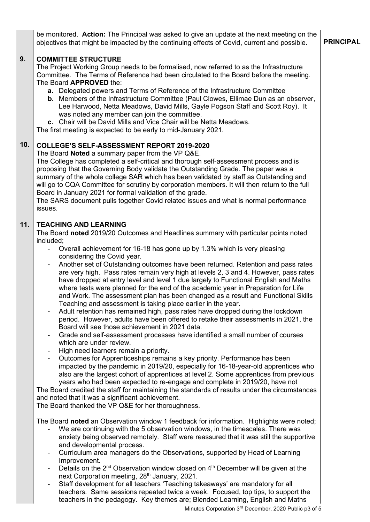be monitored. **Action:** The Principal was asked to give an update at the next meeting on the objectives that might be impacted by the continuing effects of Covid, current and possible.

#### **9. COMMITTEE STRUCTURE**

The Project Working Group needs to be formalised, now referred to as the Infrastructure Committee. The Terms of Reference had been circulated to the Board before the meeting. The Board **APPROVED** the:

- **a.** Delegated powers and Terms of Reference of the Infrastructure Committee
- **b.** Members of the Infrastructure Committee (Paul Clowes, Ellimae Dun as an observer, Lee Harwood, Netta Meadows, David Mills, Gayle Pogson Staff and Scott Roy). It was noted any member can join the committee.
- **c.** Chair will be David Mills and Vice Chair will be Netta Meadows.

The first meeting is expected to be early to mid-January 2021.

#### **10. COLLEGE'S SELF-ASSESSMENT REPORT 2019-2020**

The Board **Noted** a summary paper from the VP Q&E.

The College has completed a self-critical and thorough self-assessment process and is proposing that the Governing Body validate the Outstanding Grade. The paper was a summary of the whole college SAR which has been validated by staff as Outstanding and will go to CQA Committee for scrutiny by corporation members. It will then return to the full Board in January 2021 for formal validation of the grade.

The SARS document pulls together Covid related issues and what is normal performance issues.

#### **11. TEACHING AND LEARNING**

The Board **noted** 2019/20 Outcomes and Headlines summary with particular points noted included;

- Overall achievement for 16-18 has gone up by 1.3% which is very pleasing considering the Covid year.
- Another set of Outstanding outcomes have been returned. Retention and pass rates are very high. Pass rates remain very high at levels 2, 3 and 4. However, pass rates have dropped at entry level and level 1 due largely to Functional English and Maths where tests were planned for the end of the academic year in Preparation for Life and Work. The assessment plan has been changed as a result and Functional Skills Teaching and assessment is taking place earlier in the year.
- Adult retention has remained high, pass rates have dropped during the lockdown period. However, adults have been offered to retake their assessments in 2021, the Board will see those achievement in 2021 data.
- Grade and self-assessment processes have identified a small number of courses which are under review.
- High need learners remain a priority.
- Outcomes for Apprenticeships remains a key priority. Performance has been impacted by the pandemic in 2019/20, especially for 16-18-year-old apprentices who also are the largest cohort of apprentices at level 2. Some apprentices from previous years who had been expected to re-engage and complete in 2019/20, have not

The Board credited the staff for maintaining the standards of results under the circumstances and noted that it was a significant achievement.

The Board thanked the VP Q&E for her thoroughness.

The Board **noted** an Observation window 1 feedback for information. Highlights were noted;

- We are continuing with the 5 observation windows, in the timescales. There was anxiety being observed remotely. Staff were reassured that it was still the supportive and developmental process.
- Curriculum area managers do the Observations, supported by Head of Learning Improvement.
- Details on the  $2<sup>nd</sup>$  Observation window closed on  $4<sup>th</sup>$  December will be given at the next Corporation meeting, 28<sup>th</sup> January, 2021.
- Staff development for all teachers 'Teaching takeaways' are mandatory for all teachers. Same sessions repeated twice a week. Focused, top tips, to support the teachers in the pedagogy. Key themes are; Blended Learning, English and Maths

**PRINCIPAL**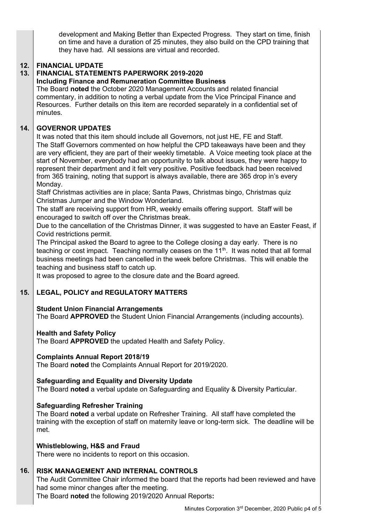development and Making Better than Expected Progress. They start on time, finish on time and have a duration of 25 minutes, they also build on the CPD training that they have had. All sessions are virtual and recorded.

#### **12. FINANCIAL UPDATE**

#### **13. FINANCIAL STATEMENTS PAPERWORK 2019-2020**

**Including Finance and Remuneration Committee Business**

The Board **noted** the October 2020 Management Accounts and related financial commentary, in addition to noting a verbal update from the Vice Principal Finance and Resources. Further details on this item are recorded separately in a confidential set of minutes.

#### **14. GOVERNOR UPDATES**

It was noted that this item should include all Governors, not just HE, FE and Staff. The Staff Governors commented on how helpful the CPD takeaways have been and they are very efficient, they are part of their weekly timetable. A Voice meeting took place at the start of November, everybody had an opportunity to talk about issues, they were happy to represent their department and it felt very positive. Positive feedback had been received from 365 training, noting that support is always available, there are 365 drop in's every Monday.

Staff Christmas activities are in place; Santa Paws, Christmas bingo, Christmas quiz Christmas Jumper and the Window Wonderland.

The staff are receiving support from HR, weekly emails offering support. Staff will be encouraged to switch off over the Christmas break.

Due to the cancellation of the Christmas Dinner, it was suggested to have an Easter Feast, if Covid restrictions permit.

The Principal asked the Board to agree to the College closing a day early. There is no teaching or cost impact. Teaching normally ceases on the 11<sup>th</sup>. It was noted that all formal business meetings had been cancelled in the week before Christmas. This will enable the teaching and business staff to catch up.

It was proposed to agree to the closure date and the Board agreed.

#### **15. LEGAL, POLICY and REGULATORY MATTERS**

# **Student Union Financial Arrangements**

The Board **APPROVED** the Student Union Financial Arrangements (including accounts).

# **Health and Safety Policy**

The Board **APPROVED** the updated Health and Safety Policy.

# **Complaints Annual Report 2018/19**

The Board **noted** the Complaints Annual Report for 2019/2020.

# **Safeguarding and Equality and Diversity Update**

The Board **noted** a verbal update on Safeguarding and Equality & Diversity Particular.

# **Safeguarding Refresher Training**

The Board **noted** a verbal update on Refresher Training. All staff have completed the training with the exception of staff on maternity leave or long-term sick. The deadline will be met.

# **Whistleblowing, H&S and Fraud**

There were no incidents to report on this occasion.

#### **16. RISK MANAGEMENT AND INTERNAL CONTROLS**

The Audit Committee Chair informed the board that the reports had been reviewed and have had some minor changes after the meeting.

The Board **noted** the following 2019/2020 Annual Reports**:**